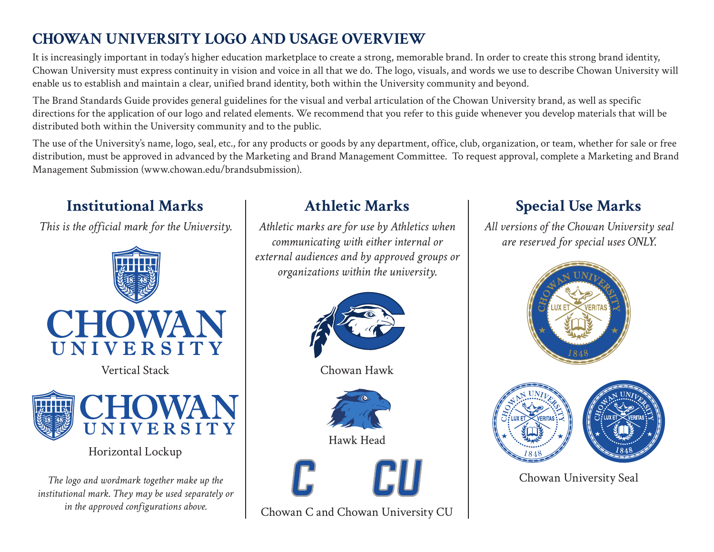### **Chowan University Logo and Usage Overview**

It is increasingly important in today's higher education marketplace to create a strong, memorable brand. In order to create this strong brand identity, Chowan University must express continuity in vision and voice in all that we do. The logo, visuals, and words we use to describe Chowan University will enable us to establish and maintain a clear, unified brand identity, both within the University community and beyond.

The Brand Standards Guide provides general guidelines for the visual and verbal articulation of the Chowan University brand, as well as specific directions for the application of our logo and related elements. We recommend that you refer to this guide whenever you develop materials that will be distributed both within the University community and to the public.

The use of the University's name, logo, seal, etc., for any products or goods by any department, office, club, organization, or team, whether for sale or free distribution, must be approved in advanced by the Marketing and Brand Management Committee. To request approval, complete a Marketing and Brand Management Submission (www.chowan.edu/brandsubmission).

# **Institutional Marks**

*This is the official mark for the University.*





Horizontal Lockup

*The logo and wordmark together make up the institutional mark. They may be used separately or in the approved configurations above.*

### **Athletic Marks**

*Athletic marks are for use by Athletics when communicating with either internal or external audiences and by approved groups or organizations within the university.* 



Chowan Hawk



Hawk Head



Chowan C and Chowan University CU

# **Special Use Marks**

*All versions of the Chowan University seal are reserved for special uses ONLY.* 



Chowan University Seal